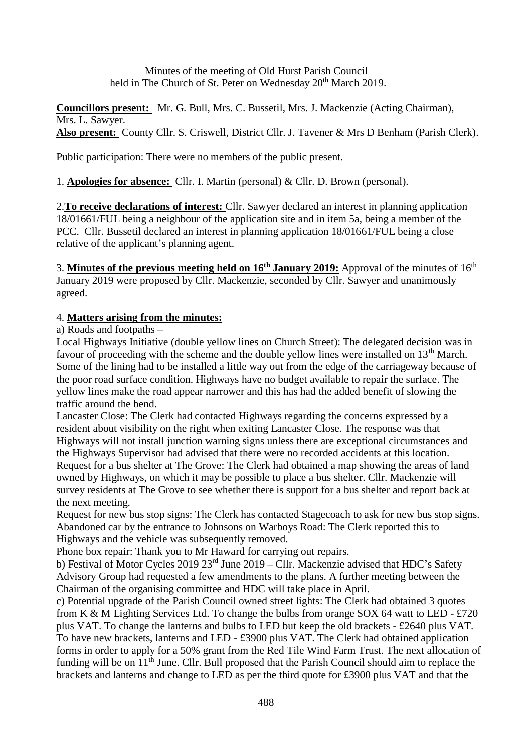Minutes of the meeting of Old Hurst Parish Council held in The Church of St. Peter on Wednesday 20<sup>th</sup> March 2019.

**Councillors present:** Mr. G. Bull, Mrs. C. Bussetil, Mrs. J. Mackenzie (Acting Chairman), Mrs. L. Sawyer. **Also present:** County Cllr. S. Criswell, District Cllr. J. Tavener & Mrs D Benham (Parish Clerk).

Public participation: There were no members of the public present.

1. **Apologies for absence:** Cllr. I. Martin (personal) & Cllr. D. Brown (personal).

2.**To receive declarations of interest:** Cllr. Sawyer declared an interest in planning application 18/01661/FUL being a neighbour of the application site and in item 5a, being a member of the PCC. Cllr. Bussetil declared an interest in planning application 18/01661/FUL being a close relative of the applicant's planning agent.

3. **Minutes of the previous meeting held on 16th January 2019:** Approval of the minutes of 16 th January 2019 were proposed by Cllr. Mackenzie, seconded by Cllr. Sawyer and unanimously agreed.

# 4. **Matters arising from the minutes:**

a) Roads and footpaths –

Local Highways Initiative (double yellow lines on Church Street): The delegated decision was in favour of proceeding with the scheme and the double yellow lines were installed on  $13<sup>th</sup>$  March. Some of the lining had to be installed a little way out from the edge of the carriageway because of the poor road surface condition. Highways have no budget available to repair the surface. The yellow lines make the road appear narrower and this has had the added benefit of slowing the traffic around the bend.

Lancaster Close: The Clerk had contacted Highways regarding the concerns expressed by a resident about visibility on the right when exiting Lancaster Close. The response was that Highways will not install junction warning signs unless there are exceptional circumstances and the Highways Supervisor had advised that there were no recorded accidents at this location. Request for a bus shelter at The Grove: The Clerk had obtained a map showing the areas of land owned by Highways, on which it may be possible to place a bus shelter. Cllr. Mackenzie will survey residents at The Grove to see whether there is support for a bus shelter and report back at the next meeting.

Request for new bus stop signs: The Clerk has contacted Stagecoach to ask for new bus stop signs. Abandoned car by the entrance to Johnsons on Warboys Road: The Clerk reported this to Highways and the vehicle was subsequently removed.

Phone box repair: Thank you to Mr Haward for carrying out repairs.

b) Festival of Motor Cycles 2019 23rd June 2019 – Cllr. Mackenzie advised that HDC's Safety Advisory Group had requested a few amendments to the plans. A further meeting between the Chairman of the organising committee and HDC will take place in April.

c) Potential upgrade of the Parish Council owned street lights: The Clerk had obtained 3 quotes from K & M Lighting Services Ltd. To change the bulbs from orange SOX 64 watt to LED - £720 plus VAT. To change the lanterns and bulbs to LED but keep the old brackets - £2640 plus VAT. To have new brackets, lanterns and LED - £3900 plus VAT. The Clerk had obtained application forms in order to apply for a 50% grant from the Red Tile Wind Farm Trust. The next allocation of funding will be on 11<sup>th</sup> June. Cllr. Bull proposed that the Parish Council should aim to replace the brackets and lanterns and change to LED as per the third quote for £3900 plus VAT and that the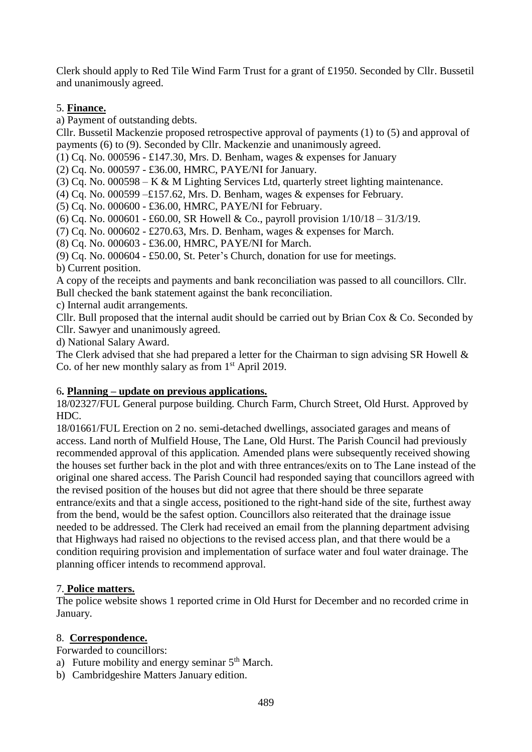Clerk should apply to Red Tile Wind Farm Trust for a grant of £1950. Seconded by Cllr. Bussetil and unanimously agreed.

## 5. **Finance.**

a) Payment of outstanding debts.

Cllr. Bussetil Mackenzie proposed retrospective approval of payments (1) to (5) and approval of payments (6) to (9). Seconded by Cllr. Mackenzie and unanimously agreed.

(1) Cq. No. 000596 - £147.30, Mrs. D. Benham, wages & expenses for January

(2) Cq. No. 000597 - £36.00, HMRC, PAYE/NI for January.

(3) Cq. No. 000598 – K & M Lighting Services Ltd, quarterly street lighting maintenance.

(4) Cq. No. 000599 –£157.62, Mrs. D. Benham, wages  $&$  expenses for February.

(5) Cq. No. 000600 - £36.00, HMRC, PAYE/NI for February.

(6) Cq. No. 000601 - £60.00, SR Howell & Co., payroll provision 1/10/18 – 31/3/19.

(7) Cq. No. 000602 - £270.63, Mrs. D. Benham, wages & expenses for March.

(8) Cq. No. 000603 - £36.00, HMRC, PAYE/NI for March.

(9) Cq. No. 000604 - £50.00, St. Peter's Church, donation for use for meetings.

b) Current position.

A copy of the receipts and payments and bank reconciliation was passed to all councillors. Cllr. Bull checked the bank statement against the bank reconciliation.

c) Internal audit arrangements.

Cllr. Bull proposed that the internal audit should be carried out by Brian Cox & Co. Seconded by Cllr. Sawyer and unanimously agreed.

d) National Salary Award.

The Clerk advised that she had prepared a letter for the Chairman to sign advising SR Howell & Co. of her new monthly salary as from  $1<sup>st</sup>$  April 2019.

### 6**. Planning – update on previous applications.**

18/02327/FUL General purpose building. Church Farm, Church Street, Old Hurst. Approved by HDC.

18/01661/FUL Erection on 2 no. semi-detached dwellings, associated garages and means of access. Land north of Mulfield House, The Lane, Old Hurst. The Parish Council had previously recommended approval of this application. Amended plans were subsequently received showing the houses set further back in the plot and with three entrances/exits on to The Lane instead of the original one shared access. The Parish Council had responded saying that councillors agreed with the revised position of the houses but did not agree that there should be three separate entrance/exits and that a single access, positioned to the right-hand side of the site, furthest away from the bend, would be the safest option. Councillors also reiterated that the drainage issue needed to be addressed. The Clerk had received an email from the planning department advising that Highways had raised no objections to the revised access plan, and that there would be a condition requiring provision and implementation of surface water and foul water drainage. The planning officer intends to recommend approval.

### 7. **Police matters.**

The police website shows 1 reported crime in Old Hurst for December and no recorded crime in January.

### 8. **Correspondence.**

Forwarded to councillors:

- a) Future mobility and energy seminar  $5<sup>th</sup>$  March.
- b) Cambridgeshire Matters January edition.